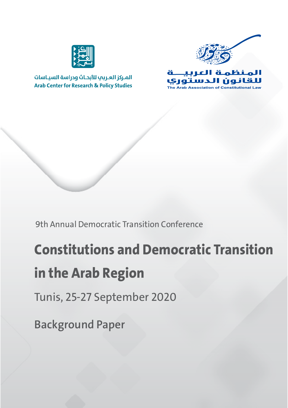

المركز العربب للأبحاث ودراسة السياسات **Arab Center for Research & Policy Studies** 





9th Annual Democratic Transition Conference

# **Constitutions and Democratic Transition in the Arab Region**

Tunis, 25-27 September 2020

**Background Paper**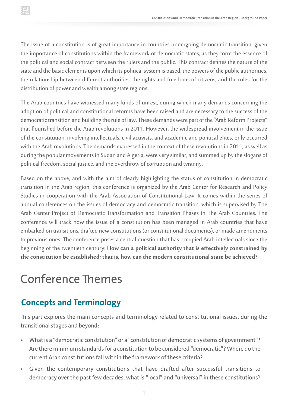The issue of a constitution is of great importance in countries undergoing democratic transition, given the importance of constitutions within the framework of democratic states, as they form the essence of the political and social contract between the rulers and the public. This contract defines the nature of the state and the basic elements upon which its political system is based, the powers of the public authorities, the relationship between different authorities, the rights and freedoms of citizens, and the rules for the distribution of power and wealth among state regions.

The Arab countries have witnessed many kinds of unrest, during which many demands concerning the adoption of political and constitutional reforms have been raised and are necessary to the success of the democratic transition and building the rule of law. These demands were part of the "Arab Reform Projects" that flourished before the Arab revolutions in 2011. However, the widespread involvement in the issue of the constitution, involving intellectuals, civil activists, and academic and political elites, only occurred with the Arab revolutions. The demands expressed in the context of these revolutions in 2011, as well as during the popular movements in Sudan and Algeria, were very similar, and summed up by the slogans of political freedom, social justice, and the overthrow of corruption and tyranny.

Based on the above, and with the aim of clearly highlighting the status of constitution in democratic transition in the Arab region, this conference is organized by the Arab Center for Research and Policy Studies in cooperation with the Arab Association of Constitutional Law. It comes within the series of annual conferences on the issues of democracy and democratic transition, which is supervised by The Arab Center Project of Democratic Transformation and Transition Phases in The Arab Countries. The conference will track how the issue of a constitution has been managed in Arab countries that have embarked on transitions, drafted new constitutions (or constitutional documents), or made amendments to previous ones. The conference poses a central question that has occupied Arab intellectuals since the beginning of the twentieth century: **How can a political authority that is effectively constrained by the constitution be established; that is, how can the modern constitutional state be achieved?**

# Conference Themes

# **Concepts and Terminology**

This part explores the main concepts and terminology related to constitutional issues, during the transitional stages and beyond:

- What is a "democratic constitution" or a "constitution of democratic systems of government"? Are there minimum standards for a constitution to be considered "democratic"? Where do the current Arab constitutions fall within the framework of these criteria?
- Given the contemporary constitutions that have drafted after successful transitions to democracy over the past few decades, what is "local" and "universal" in these constitutions?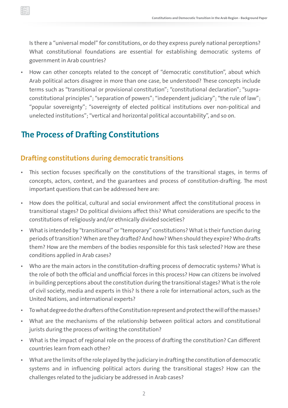Is there a "universal model" for constitutions, or do they express purely national perceptions? What constitutional foundations are essential for establishing democratic systems of government in Arab countries?

• How can other concepts related to the concept of "democratic constitution", about which Arab political actors disagree in more than one case, be understood? These concepts include terms such as "transitional or provisional constitution"; "constitutional declaration"; "supraconstitutional principles"; "separation of powers"; "independent judiciary"; "the rule of law"; "popular sovereignty"; "sovereignty of elected political institutions over non-political and unelected institutions"; "vertical and horizontal political accountability", and so on.

## **The Process of Drafting Constitutions**

#### **Drafting constitutions during democratic transitions**

- This section focuses specifically on the constitutions of the transitional stages, in terms of concepts, actors, context, and the guarantees and process of constitution-drafting. The most important questions that can be addressed here are:
- How does the political, cultural and social environment affect the constitutional process in transitional stages? Do political divisions affect this? What considerations are specific to the constitutions of religiously and/or ethnically divided societies?
- What is intended by "transitional" or "temporary" constitutions? What is their function during periods of transition? When are they drafted? And how? When should they expire? Who drafts them? How are the members of the bodies responsible for this task selected? How are these conditions applied in Arab cases?
- Who are the main actors in the constitution-drafting process of democratic systems? What is the role of both the official and unofficial forces in this process? How can citizens be involved in building perceptions about the constitution during the transitional stages? What is the role of civil society, media and experts in this? Is there a role for international actors, such as the United Nations, and international experts?
- To what degree do the drafters of the Constitution represent and protect the will of the masses?
- What are the mechanisms of the relationship between political actors and constitutional jurists during the process of writing the constitution?
- What is the impact of regional role on the process of drafting the constitution? Can different countries learn from each other?
- What are the limits of the role played by the judiciary in drafting the constitution of democratic systems and in influencing political actors during the transitional stages? How can the challenges related to the judiciary be addressed in Arab cases?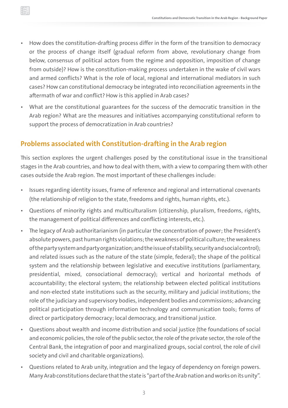- How does the constitution-drafting process differ in the form of the transition to democracy or the process of change itself (gradual reform from above, revolutionary change from below, consensus of political actors from the regime and opposition, imposition of change from outside)? How is the constitution-making process undertaken in the wake of civil wars and armed conflicts? What is the role of local, regional and international mediators in such cases? How can constitutional democracy be integrated into reconciliation agreements in the aftermath of war and conflict? How is this applied in Arab cases?
- What are the constitutional guarantees for the success of the democratic transition in the Arab region? What are the measures and initiatives accompanying constitutional reform to support the process of democratization in Arab countries?

#### **Problems associated with Constitution-drafting in the Arab region**

This section explores the urgent challenges posed by the constitutional issue in the transitional stages in the Arab countries, and how to deal with them, with a view to comparing them with other cases outside the Arab region. The most important of these challenges include:

- Issues regarding identity issues, frame of reference and regional and international covenants (the relationship of religion to the state, freedoms and rights, human rights, etc.).
- Questions of minority rights and multiculturalism (citizenship, pluralism, freedoms, rights, the management of political differences and conflicting interests, etc.).
- The legacy of Arab authoritarianism (in particular the concentration of power; the President's absolute powers, past human rights violations; the weakness of political culture; the weakness of the party system and party organization; and the issue of stability, security and social control); and related issues such as the nature of the state (simple, federal); the shape of the political system and the relationship between legislative and executive institutions (parliamentary, presidential, mixed, consociational democracy); vertical and horizontal methods of accountability; the electoral system; the relationship between elected political institutions and non-elected state institutions such as the security, military and judicial institutions; the role of the judiciary and supervisory bodies, independent bodies and commissions; advancing political participation through information technology and communication tools; forms of direct or participatory democracy; local democracy, and transitional justice.
- Questions about wealth and income distribution and social justice (the foundations of social and economic policies, the role of the public sector, the role of the private sector, the role of the Central Bank, the integration of poor and marginalized groups, social control, the role of civil society and civil and charitable organizations).
- Questions related to Arab unity, integration and the legacy of dependency on foreign powers. Many Arab constitutions declare that the state is "part of the Arab nation and works on its unity".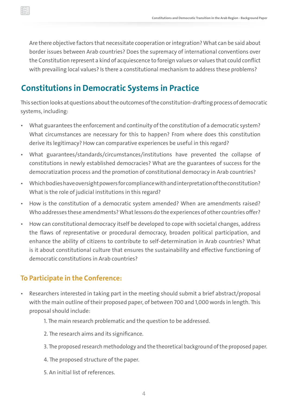Are there objective factors that necessitate cooperation or integration? What can be said about border issues between Arab countries? Does the supremacy of international conventions over the Constitution represent a kind of acquiescence to foreign values or values that could conflict with prevailing local values? Is there a constitutional mechanism to address these problems?

### **Constitutions in Democratic Systems in Practice**

This section looks at questions about the outcomes of the constitution-drafting process of democratic systems, including:

- What guarantees the enforcement and continuity of the constitution of a democratic system? What circumstances are necessary for this to happen? From where does this constitution derive its legitimacy? How can comparative experiences be useful in this regard?
- What guarantees/standards/circumstances/institutions have prevented the collapse of constitutions in newly established democracies? What are the guarantees of success for the democratization process and the promotion of constitutional democracy in Arab countries?
- Which bodies have oversight powers for compliance with and interpretation of the constitution? What is the role of judicial institutions in this regard?
- How is the constitution of a democratic system amended? When are amendments raised? Who addresses these amendments? What lessons do the experiences of other countries offer?
- How can constitutional democracy itself be developed to cope with societal changes, address the flaws of representative or procedural democracy, broaden political participation, and enhance the ability of citizens to contribute to self-determination in Arab countries? What is it about constitutional culture that ensures the sustainability and effective functioning of democratic constitutions in Arab countries?

#### **To Participate in the Conference:**

- Researchers interested in taking part in the meeting should submit a brief abstract/proposal with the main outline of their proposed paper, of between 700 and 1,000 words in length. This proposal should include:
	- 1. The main research problematic and the question to be addressed.
	- 2. The research aims and its significance.
	- 3. The proposed research methodology and the theoretical background of the proposed paper.
	- 4. The proposed structure of the paper.
	- 5. An initial list of references.